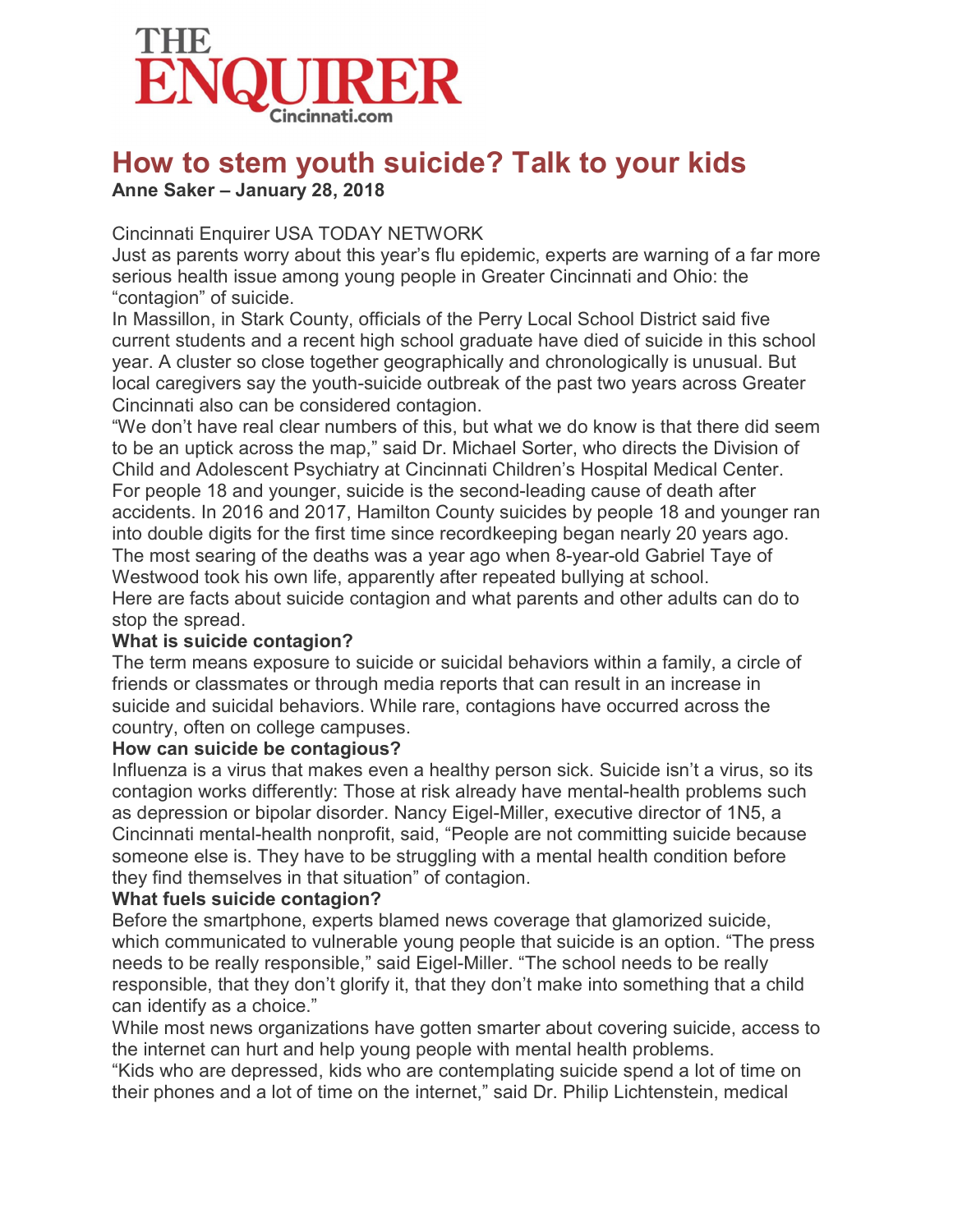

# How to stem youth suicide? Talk to your kids

## Anne Saker – January 28, 2018

## Cincinnati Enquirer USA TODAY NETWORK

Just as parents worry about this year's flu epidemic, experts are warning of a far more serious health issue among young people in Greater Cincinnati and Ohio: the "contagion" of suicide.

In Massillon, in Stark County, officials of the Perry Local School District said five current students and a recent high school graduate have died of suicide in this school year. A cluster so close together geographically and chronologically is unusual. But local caregivers say the youth-suicide outbreak of the past two years across Greater Cincinnati also can be considered contagion.

"We don't have real clear numbers of this, but what we do know is that there did seem to be an uptick across the map," said Dr. Michael Sorter, who directs the Division of Child and Adolescent Psychiatry at Cincinnati Children's Hospital Medical Center. For people 18 and younger, suicide is the second-leading cause of death after accidents. In 2016 and 2017, Hamilton County suicides by people 18 and younger ran into double digits for the first time since recordkeeping began nearly 20 years ago. The most searing of the deaths was a year ago when 8-year-old Gabriel Taye of Westwood took his own life, apparently after repeated bullying at school. Here are facts about suicide contagion and what parents and other adults can do to stop the spread.

## What is suicide contagion?

The term means exposure to suicide or suicidal behaviors within a family, a circle of friends or classmates or through media reports that can result in an increase in suicide and suicidal behaviors. While rare, contagions have occurred across the country, often on college campuses.

#### How can suicide be contagious?

Influenza is a virus that makes even a healthy person sick. Suicide isn't a virus, so its contagion works differently: Those at risk already have mental-health problems such as depression or bipolar disorder. Nancy Eigel-Miller, executive director of 1N5, a Cincinnati mental-health nonprofit, said, "People are not committing suicide because someone else is. They have to be struggling with a mental health condition before they find themselves in that situation" of contagion.

#### What fuels suicide contagion?

Before the smartphone, experts blamed news coverage that glamorized suicide, which communicated to vulnerable young people that suicide is an option. "The press needs to be really responsible," said Eigel-Miller. "The school needs to be really responsible, that they don't glorify it, that they don't make into something that a child can identify as a choice."

While most news organizations have gotten smarter about covering suicide, access to the internet can hurt and help young people with mental health problems.

"Kids who are depressed, kids who are contemplating suicide spend a lot of time on their phones and a lot of time on the internet," said Dr. Philip Lichtenstein, medical